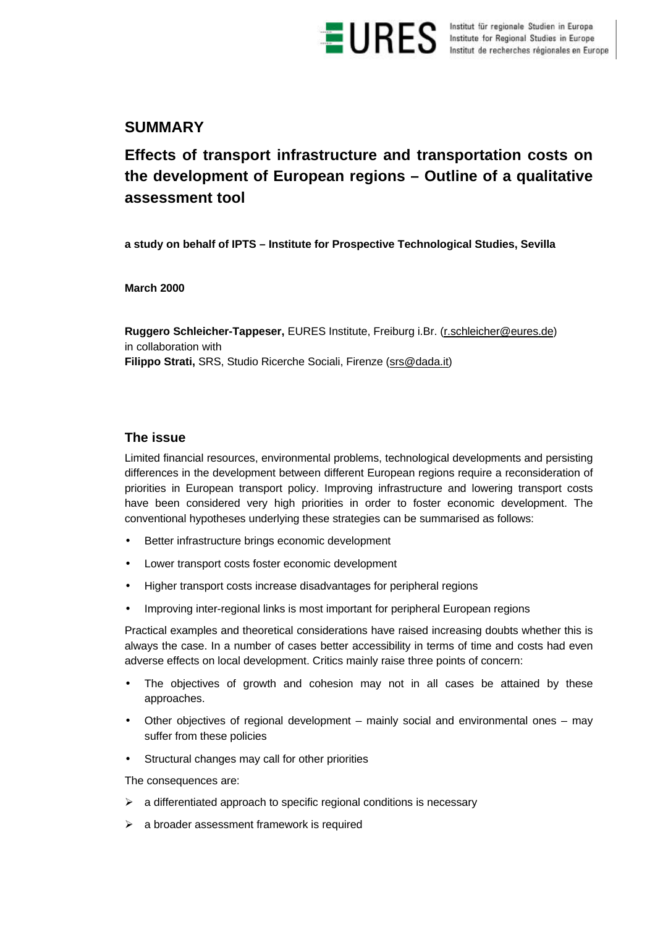

**ES** Institut für regionale Studien in Europe<br>Institute for Regional Studies in Europe<br>Institut de recherches régionales en Europe

## **SUMMARY**

# **Effects of transport infrastructure and transportation costs on the development of European regions – Outline of a qualitative assessment tool**

**a study on behalf of IPTS – Institute for Prospective Technological Studies, Sevilla**

**March 2000**

**Ruggero Schleicher-Tappeser,** EURES Institute, Freiburg i.Br. (r.schleicher@eures.de) in collaboration with **Filippo Strati,** SRS, Studio Ricerche Sociali, Firenze (srs@dada.it)

## **The issue**

Limited financial resources, environmental problems, technological developments and persisting differences in the development between different European regions require a reconsideration of priorities in European transport policy. Improving infrastructure and lowering transport costs have been considered very high priorities in order to foster economic development. The conventional hypotheses underlying these strategies can be summarised as follows:

- Better infrastructure brings economic development
- Lower transport costs foster economic development
- Higher transport costs increase disadvantages for peripheral regions
- Improving inter-regional links is most important for peripheral European regions

Practical examples and theoretical considerations have raised increasing doubts whether this is always the case. In a number of cases better accessibility in terms of time and costs had even adverse effects on local development. Critics mainly raise three points of concern:

- The objectives of growth and cohesion may not in all cases be attained by these approaches.
- Other objectives of regional development mainly social and environmental ones may suffer from these policies
- Structural changes may call for other priorities

The consequences are:

- $\triangleright$  a differentiated approach to specific regional conditions is necessary
- $\triangleright$  a broader assessment framework is required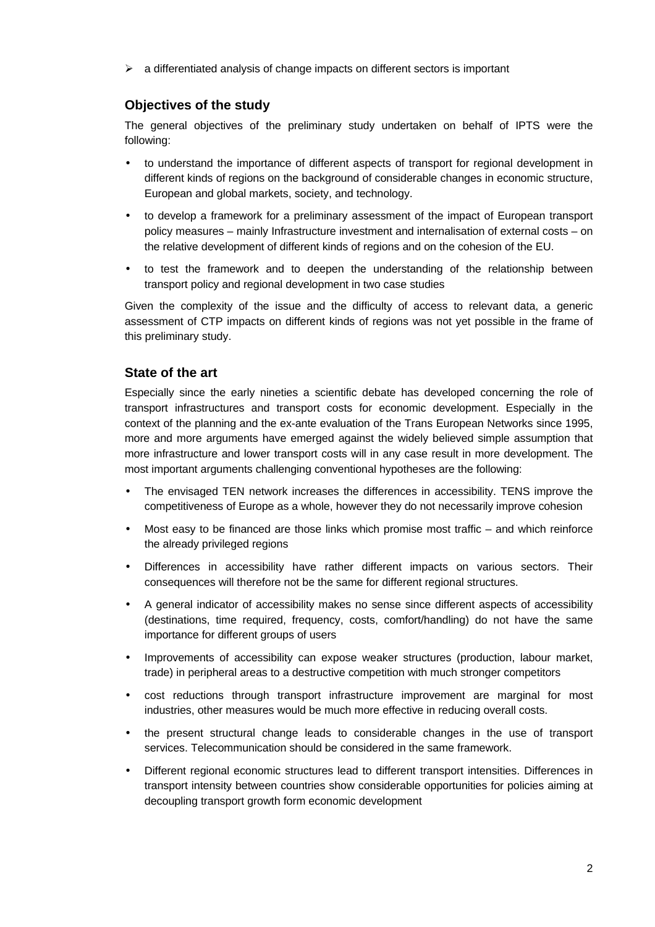$\triangleright$  a differentiated analysis of change impacts on different sectors is important

## **Objectives of the study**

The general objectives of the preliminary study undertaken on behalf of IPTS were the following:

- to understand the importance of different aspects of transport for regional development in different kinds of regions on the background of considerable changes in economic structure, European and global markets, society, and technology.
- to develop a framework for a preliminary assessment of the impact of European transport policy measures – mainly Infrastructure investment and internalisation of external costs – on the relative development of different kinds of regions and on the cohesion of the EU.
- to test the framework and to deepen the understanding of the relationship between transport policy and regional development in two case studies

Given the complexity of the issue and the difficulty of access to relevant data, a generic assessment of CTP impacts on different kinds of regions was not yet possible in the frame of this preliminary study.

## **State of the art**

Especially since the early nineties a scientific debate has developed concerning the role of transport infrastructures and transport costs for economic development. Especially in the context of the planning and the ex-ante evaluation of the Trans European Networks since 1995, more and more arguments have emerged against the widely believed simple assumption that more infrastructure and lower transport costs will in any case result in more development. The most important arguments challenging conventional hypotheses are the following:

- The envisaged TEN network increases the differences in accessibility. TENS improve the competitiveness of Europe as a whole, however they do not necessarily improve cohesion
- Most easy to be financed are those links which promise most traffic and which reinforce the already privileged regions
- Differences in accessibility have rather different impacts on various sectors. Their consequences will therefore not be the same for different regional structures.
- A general indicator of accessibility makes no sense since different aspects of accessibility (destinations, time required, frequency, costs, comfort/handling) do not have the same importance for different groups of users
- Improvements of accessibility can expose weaker structures (production, labour market, trade) in peripheral areas to a destructive competition with much stronger competitors
- cost reductions through transport infrastructure improvement are marginal for most industries, other measures would be much more effective in reducing overall costs.
- the present structural change leads to considerable changes in the use of transport services. Telecommunication should be considered in the same framework.
- Different regional economic structures lead to different transport intensities. Differences in transport intensity between countries show considerable opportunities for policies aiming at decoupling transport growth form economic development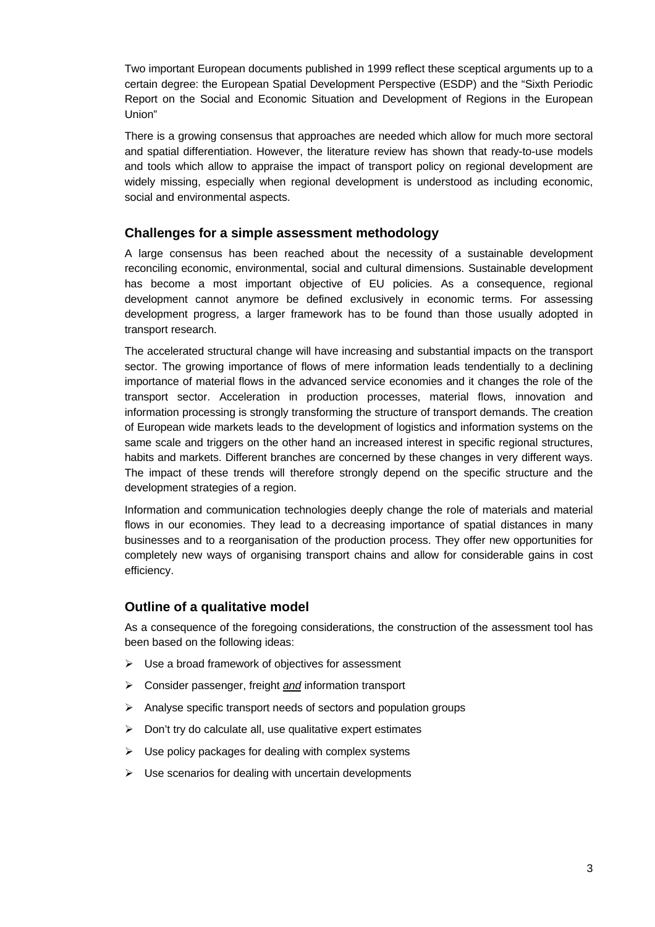Two important European documents published in 1999 reflect these sceptical arguments up to a certain degree: the European Spatial Development Perspective (ESDP) and the "Sixth Periodic Report on the Social and Economic Situation and Development of Regions in the European Union"

There is a growing consensus that approaches are needed which allow for much more sectoral and spatial differentiation. However, the literature review has shown that ready-to-use models and tools which allow to appraise the impact of transport policy on regional development are widely missing, especially when regional development is understood as including economic, social and environmental aspects.

#### **Challenges for a simple assessment methodology**

A large consensus has been reached about the necessity of a sustainable development reconciling economic, environmental, social and cultural dimensions. Sustainable development has become a most important objective of EU policies. As a consequence, regional development cannot anymore be defined exclusively in economic terms. For assessing development progress, a larger framework has to be found than those usually adopted in transport research.

The accelerated structural change will have increasing and substantial impacts on the transport sector. The growing importance of flows of mere information leads tendentially to a declining importance of material flows in the advanced service economies and it changes the role of the transport sector. Acceleration in production processes, material flows, innovation and information processing is strongly transforming the structure of transport demands. The creation of European wide markets leads to the development of logistics and information systems on the same scale and triggers on the other hand an increased interest in specific regional structures, habits and markets. Different branches are concerned by these changes in very different ways. The impact of these trends will therefore strongly depend on the specific structure and the development strategies of a region.

Information and communication technologies deeply change the role of materials and material flows in our economies. They lead to a decreasing importance of spatial distances in many businesses and to a reorganisation of the production process. They offer new opportunities for completely new ways of organising transport chains and allow for considerable gains in cost efficiency.

## **Outline of a qualitative model**

As a consequence of the foregoing considerations, the construction of the assessment tool has been based on the following ideas:

- $\triangleright$  Use a broad framework of objectives for assessment
- ÿ Consider passenger, freight *and* information transport
- $\triangleright$  Analyse specific transport needs of sectors and population groups
- $\triangleright$  Don't try do calculate all, use qualitative expert estimates
- $\triangleright$  Use policy packages for dealing with complex systems
- $\triangleright$  Use scenarios for dealing with uncertain developments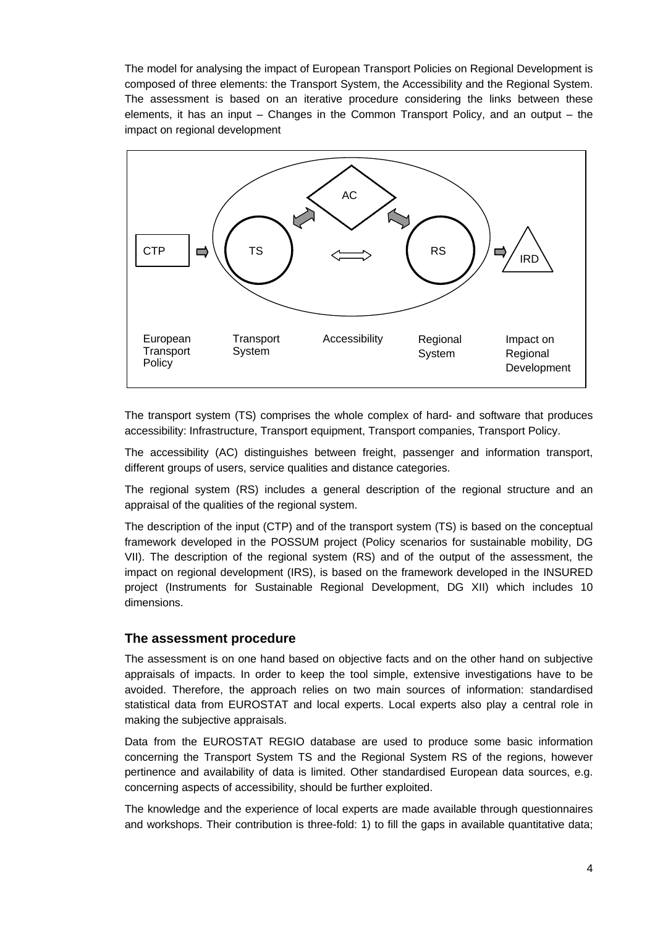The model for analysing the impact of European Transport Policies on Regional Development is composed of three elements: the Transport System, the Accessibility and the Regional System. The assessment is based on an iterative procedure considering the links between these elements, it has an input – Changes in the Common Transport Policy, and an output – the impact on regional development



The transport system (TS) comprises the whole complex of hard- and software that produces accessibility: Infrastructure, Transport equipment, Transport companies, Transport Policy.

The accessibility (AC) distinguishes between freight, passenger and information transport, different groups of users, service qualities and distance categories.

The regional system (RS) includes a general description of the regional structure and an appraisal of the qualities of the regional system.

The description of the input (CTP) and of the transport system (TS) is based on the conceptual framework developed in the POSSUM project (Policy scenarios for sustainable mobility, DG VII). The description of the regional system (RS) and of the output of the assessment, the impact on regional development (IRS), is based on the framework developed in the INSURED project (Instruments for Sustainable Regional Development, DG XII) which includes 10 dimensions.

#### **The assessment procedure**

The assessment is on one hand based on objective facts and on the other hand on subjective appraisals of impacts. In order to keep the tool simple, extensive investigations have to be avoided. Therefore, the approach relies on two main sources of information: standardised statistical data from EUROSTAT and local experts. Local experts also play a central role in making the subjective appraisals.

Data from the EUROSTAT REGIO database are used to produce some basic information concerning the Transport System TS and the Regional System RS of the regions, however pertinence and availability of data is limited. Other standardised European data sources, e.g. concerning aspects of accessibility, should be further exploited.

The knowledge and the experience of local experts are made available through questionnaires and workshops. Their contribution is three-fold: 1) to fill the gaps in available quantitative data;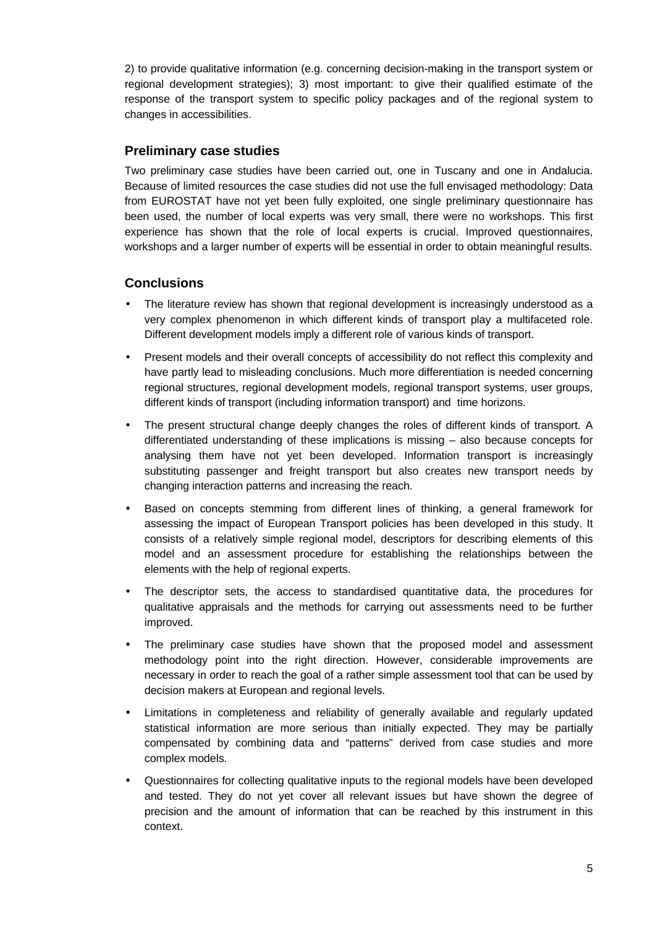2) to provide qualitative information (e.g. concerning decision-making in the transport system or regional development strategies); 3) most important: to give their qualified estimate of the response of the transport system to specific policy packages and of the regional system to changes in accessibilities.

## **Preliminary case studies**

Two preliminary case studies have been carried out, one in Tuscany and one in Andalucia. Because of limited resources the case studies did not use the full envisaged methodology: Data from EUROSTAT have not yet been fully exploited, one single preliminary questionnaire has been used, the number of local experts was very small, there were no workshops. This first experience has shown that the role of local experts is crucial. Improved questionnaires, workshops and a larger number of experts will be essential in order to obtain meaningful results.

## **Conclusions**

- The literature review has shown that regional development is increasingly understood as a very complex phenomenon in which different kinds of transport play a multifaceted role. Different development models imply a different role of various kinds of transport.
- Present models and their overall concepts of accessibility do not reflect this complexity and have partly lead to misleading conclusions. Much more differentiation is needed concerning regional structures, regional development models, regional transport systems, user groups, different kinds of transport (including information transport) and time horizons.
- The present structural change deeply changes the roles of different kinds of transport. A differentiated understanding of these implications is missing – also because concepts for analysing them have not yet been developed. Information transport is increasingly substituting passenger and freight transport but also creates new transport needs by changing interaction patterns and increasing the reach.
- Based on concepts stemming from different lines of thinking, a general framework for assessing the impact of European Transport policies has been developed in this study. It consists of a relatively simple regional model, descriptors for describing elements of this model and an assessment procedure for establishing the relationships between the elements with the help of regional experts.
- The descriptor sets, the access to standardised quantitative data, the procedures for qualitative appraisals and the methods for carrying out assessments need to be further improved.
- The preliminary case studies have shown that the proposed model and assessment methodology point into the right direction. However, considerable improvements are necessary in order to reach the goal of a rather simple assessment tool that can be used by decision makers at European and regional levels.
- Limitations in completeness and reliability of generally available and regularly updated statistical information are more serious than initially expected. They may be partially compensated by combining data and "patterns" derived from case studies and more complex models.
- Questionnaires for collecting qualitative inputs to the regional models have been developed and tested. They do not yet cover all relevant issues but have shown the degree of precision and the amount of information that can be reached by this instrument in this context.